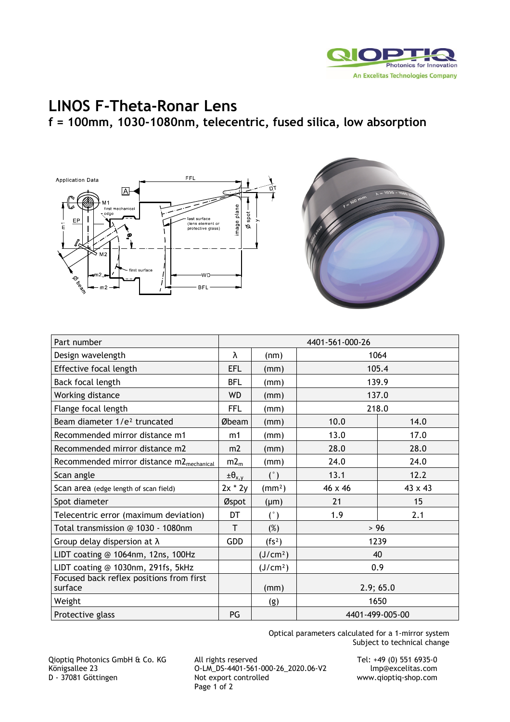

## **LINOS F-Theta-Ronar Lens f = 100mm, 1030-1080nm, telecentric, fused silica, low absorption**





| Part number                                          | 4401-561-000-26    |                      |                 |         |
|------------------------------------------------------|--------------------|----------------------|-----------------|---------|
| Design wavelength                                    | λ                  | (nm)                 | 1064            |         |
| Effective focal length                               | <b>EFL</b>         | (mm)                 | 105.4           |         |
| Back focal length                                    | <b>BFL</b>         | (mm)                 | 139.9           |         |
| Working distance                                     | <b>WD</b>          | (mm)                 | 137.0           |         |
| Flange focal length                                  | FFL                | (mm)                 | 218.0           |         |
| Beam diameter 1/e <sup>2</sup> truncated             | Øbeam              | (mm)                 | 10.0            | 14.0    |
| Recommended mirror distance m1                       | m1                 | (mm)                 | 13.0            | 17.0    |
| Recommended mirror distance m2                       | m2                 | (mm)                 | 28.0            | 28.0    |
| Recommended mirror distance m2 <sub>mechanical</sub> | m2 <sub>m</sub>    | (mm)                 | 24.0            | 24.0    |
| Scan angle                                           | $\pm \theta_{x,y}$ | (°)                  | 13.1            | 12.2    |
| Scan area (edge length of scan field)                | $2x * 2y$          | (mm <sup>2</sup> )   | 46 x 46         | 43 x 43 |
| Spot diameter                                        | Øspot              | $(\mu m)$            | 21              | 15      |
| Telecentric error (maximum deviation)                | DT                 | (°)                  | 1.9             | 2.1     |
| Total transmission @ 1030 - 1080nm                   | T                  | $(\%)$               | $>96$           |         |
| Group delay dispersion at $\lambda$                  | <b>GDD</b>         | (fs <sup>2</sup> )   | 1239            |         |
| LIDT coating @ 1064nm, 12ns, 100Hz                   |                    | (J/cm <sup>2</sup> ) | 40              |         |
| LIDT coating @ 1030nm, 291fs, 5kHz                   |                    | (J/cm <sup>2</sup> ) | 0.9             |         |
| Focused back reflex positions from first<br>surface  |                    | (mm)                 | 2.9;65.0        |         |
| Weight                                               |                    | (g)                  | 1650            |         |
| Protective glass                                     | PG                 |                      | 4401-499-005-00 |         |

Optical parameters calculated for a 1-mirror system Subject to technical change

Qioptiq Photonics GmbH & Co. KG All rights reserved Tel: +49 (0) 551 6935-0 Königsallee 23 O-LM\_DS-4401-561-000-26\_2020.06-V2<br>
D - 37081 Göttingen Not export controlled Page 1 of 2

www.qioptiq-shop.com